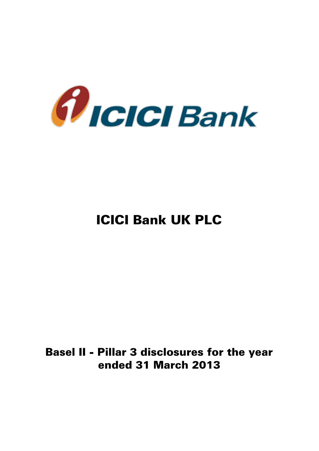

# ICICI Bank UK PLC

## Basel II - Pillar 3 disclosures for the year ended 31 March 2013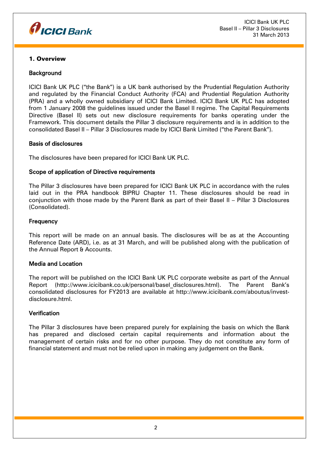

#### 1. Overview

#### **Background**

ICICI Bank UK PLC ("the Bank") is a UK bank authorised by the Prudential Regulation Authority and regulated by the Financial Conduct Authority (FCA) and Prudential Regulation Authority (PRA) and a wholly owned subsidiary of ICICI Bank Limited. ICICI Bank UK PLC has adopted from 1 January 2008 the guidelines issued under the Basel II regime. The Capital Requirements Directive (Basel II) sets out new disclosure requirements for banks operating under the Framework. This document details the Pillar 3 disclosure requirements and is in addition to the consolidated Basel II – Pillar 3 Disclosures made by ICICI Bank Limited ("the Parent Bank").

#### Basis of disclosures

The disclosures have been prepared for ICICI Bank UK PLC.

#### Scope of application of Directive requirements

The Pillar 3 disclosures have been prepared for ICICI Bank UK PLC in accordance with the rules laid out in the PRA handbook BIPRU Chapter 11. These disclosures should be read in conjunction with those made by the Parent Bank as part of their Basel II – Pillar 3 Disclosures (Consolidated).

#### **Frequency**

This report will be made on an annual basis. The disclosures will be as at the Accounting Reference Date (ARD), i.e. as at 31 March, and will be published along with the publication of the Annual Report & Accounts.

#### Media and Location

The report will be published on the ICICI Bank UK PLC corporate website as part of the Annual Report (http://www.icicibank.co.uk/personal/basel\_disclosures.html). The Parent Bank's consolidated disclosures for FY2013 are available at http://www.icicibank.com/aboutus/investdisclosure.html.

#### **Verification**

The Pillar 3 disclosures have been prepared purely for explaining the basis on which the Bank has prepared and disclosed certain capital requirements and information about the management of certain risks and for no other purpose. They do not constitute any form of financial statement and must not be relied upon in making any judgement on the Bank.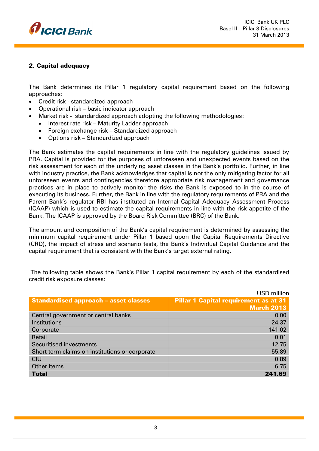

## 2. Capital adequacy

The Bank determines its Pillar 1 regulatory capital requirement based on the following approaches:

- Credit risk standardized approach
- Operational risk basic indicator approach
- Market risk standardized approach adopting the following methodologies:
	- Interest rate risk Maturity Ladder approach
	- Foreign exchange risk Standardized approach
	- Options risk Standardized approach

The Bank estimates the capital requirements in line with the regulatory guidelines issued by PRA. Capital is provided for the purposes of unforeseen and unexpected events based on the risk assessment for each of the underlying asset classes in the Bank's portfolio. Further, in line with industry practice, the Bank acknowledges that capital is not the only mitigating factor for all unforeseen events and contingencies therefore appropriate risk management and governance practices are in place to actively monitor the risks the Bank is exposed to in the course of executing its business. Further, the Bank in line with the regulatory requirements of PRA and the Parent Bank's regulator RBI has instituted an Internal Capital Adequacy Assessment Process (ICAAP) which is used to estimate the capital requirements in line with the risk appetite of the Bank. The ICAAP is approved by the Board Risk Committee (BRC) of the Bank.

The amount and composition of the Bank's capital requirement is determined by assessing the minimum capital requirement under Pillar 1 based upon the Capital Requirements Directive (CRD), the impact of stress and scenario tests, the Bank's Individual Capital Guidance and the capital requirement that is consistent with the Bank's target external rating.

|                                                | USD million                                  |
|------------------------------------------------|----------------------------------------------|
| <b>Standardised approach - asset classes</b>   | <b>Pillar 1 Capital requirement as at 31</b> |
|                                                | <b>March 2013</b>                            |
| Central government or central banks            | 0.00                                         |
| Institutions                                   | 24.37                                        |
| Corporate                                      | 141.02                                       |
| Retail                                         | 0.01                                         |
| Securitised investments                        | 12.75                                        |
| Short term claims on institutions or corporate | 55.89                                        |
| <b>CIU</b>                                     | 0.89                                         |
| Other items                                    | 6.75                                         |
| <b>Total</b>                                   | 241.69                                       |

The following table shows the Bank's Pillar 1 capital requirement by each of the standardised credit risk exposure classes: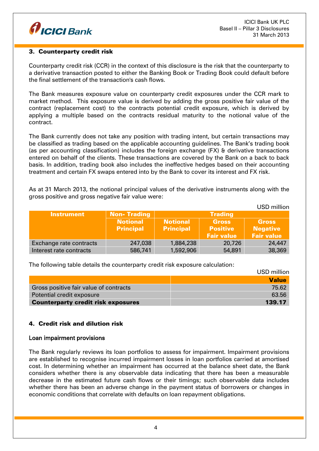

#### 3. Counterparty credit risk

Counterparty credit risk (CCR) in the context of this disclosure is the risk that the counterparty to a derivative transaction posted to either the Banking Book or Trading Book could default before the final settlement of the transaction's cash flows.

The Bank measures exposure value on counterparty credit exposures under the CCR mark to market method. This exposure value is derived by adding the gross positive fair value of the contract (replacement cost) to the contracts potential credit exposure, which is derived by applying a multiple based on the contracts residual maturity to the notional value of the contract.

The Bank currently does not take any position with trading intent, but certain transactions may be classified as trading based on the applicable accounting guidelines. The Bank's trading book (as per accounting classification) includes the foreign exchange (FX) & derivative transactions entered on behalf of the clients. These transactions are covered by the Bank on a back to back basis. In addition, trading book also includes the ineffective hedges based on their accounting treatment and certain FX swaps entered into by the Bank to cover its interest and FX risk.

As at 31 March 2013, the notional principal values of the derivative instruments along with the gross positive and gross negative fair value were:

|                         |                    |                  |                   | <b>USD</b> million |
|-------------------------|--------------------|------------------|-------------------|--------------------|
| <b>Instrument</b>       | <b>Non-Trading</b> |                  | <b>Trading</b>    |                    |
|                         | <b>Notional</b>    | <b>Notional</b>  | <b>Gross</b>      | <b>Gross</b>       |
|                         | <b>Principal</b>   | <b>Principal</b> | <b>Positive</b>   | <b>Negative</b>    |
|                         |                    |                  | <b>Fair value</b> | <b>Fair value</b>  |
| Exchange rate contracts | 247,038            | 1,884,238        | 20,726            | 24,447             |
| Interest rate contracts | 586,741            | 1,592,906        | 54,891            | 38,369             |

The following table details the counterparty credit risk exposure calculation:

|                                           | USD million  |
|-------------------------------------------|--------------|
|                                           | <b>Value</b> |
| Gross positive fair value of contracts    | 75.62        |
| Potential credit exposure                 | 63.56        |
| <b>Counterparty credit risk exposures</b> | 139.17       |

#### 4. Credit risk and dilution risk

#### Loan impairment provisions

The Bank regularly reviews its loan portfolios to assess for impairment. Impairment provisions are established to recognise incurred impairment losses in loan portfolios carried at amortised cost. In determining whether an impairment has occurred at the balance sheet date, the Bank considers whether there is any observable data indicating that there has been a measurable decrease in the estimated future cash flows or their timings; such observable data includes whether there has been an adverse change in the payment status of borrowers or changes in economic conditions that correlate with defaults on loan repayment obligations.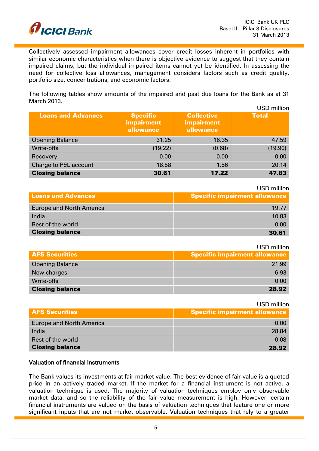

Collectively assessed impairment allowances cover credit losses inherent in portfolios with similar economic characteristics when there is objective evidence to suggest that they contain impaired claims, but the individual impaired items cannot yet be identified. In assessing the need for collective loss allowances, management considers factors such as credit quality, portfolio size, concentrations, and economic factors.

The following tables show amounts of the impaired and past due loans for the Bank as at 31 March 2013.

|                           |                                            |                                                     | USD million  |
|---------------------------|--------------------------------------------|-----------------------------------------------------|--------------|
| <b>Loans and Advances</b> | <b>Specific</b><br>impairment<br>allowance | <b>Collective</b><br><b>impairment</b><br>allowance | <b>Total</b> |
| <b>Opening Balance</b>    | 31.25                                      | 16.35                                               | 47.59        |
| Write-offs                | (19.22)                                    | (0.68)                                              | (19.90)      |
| Recovery                  | 0.00                                       | 0.00                                                | 0.00         |
| Charge to P&L account     | 18.58                                      | 1.56                                                | 20.14        |
| <b>Closing balance</b>    | 30.61                                      | 17.22                                               | 47.83        |

USD million

| <b>Loans and Advances</b>       | <b>Specific impairment allowance</b> |
|---------------------------------|--------------------------------------|
| <b>Europe and North America</b> | 19.77                                |
| India                           | 10.83                                |
| Rest of the world               | 0.00                                 |
| <b>Closing balance</b>          | 30.61                                |

USD million

| <b>AFS Securities</b>  | $\overline{\phantom{a}}$ Specific impairment allowance |
|------------------------|--------------------------------------------------------|
| <b>Opening Balance</b> | 21.99                                                  |
| New charges            | 6.93                                                   |
| Write-offs             | 0.00                                                   |
| <b>Closing balance</b> | 28.92                                                  |

|                                 | USD million                          |
|---------------------------------|--------------------------------------|
| <b>AFS Securities</b>           | <b>Specific impairment allowance</b> |
| <b>Europe and North America</b> | 0.00                                 |
| India                           | 28.84                                |
| Rest of the world               | 0.08                                 |
| <b>Closing balance</b>          | 28.92                                |

#### Valuation of financial instruments

The Bank values its investments at fair market value. The best evidence of fair value is a quoted price in an actively traded market. If the market for a financial instrument is not active, a valuation technique is used. The majority of valuation techniques employ only observable market data, and so the reliability of the fair value measurement is high. However, certain financial instruments are valued on the basis of valuation techniques that feature one or more significant inputs that are not market observable. Valuation techniques that rely to a greater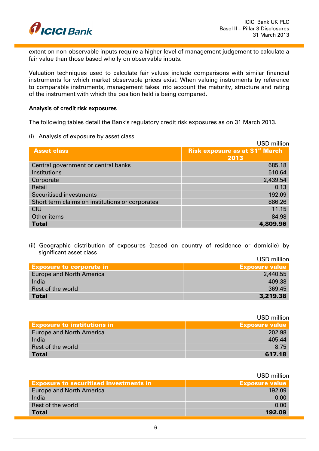

extent on non-observable inputs require a higher level of management judgement to calculate a fair value than those based wholly on observable inputs.

Valuation techniques used to calculate fair values include comparisons with similar financial instruments for which market observable prices exist. When valuing instruments by reference to comparable instruments, management takes into account the maturity, structure and rating of the instrument with which the position held is being compared.

#### Analysis of credit risk exposures

The following tables detail the Bank's regulatory credit risk exposures as on 31 March 2013.

(i) Analysis of exposure by asset class

|                                                 | <b>USD million</b>                    |
|-------------------------------------------------|---------------------------------------|
| <b>Asset class</b>                              | <b>Risk exposure as at 31st March</b> |
|                                                 | 2013                                  |
| Central government or central banks             | 685.18                                |
| Institutions                                    | 510.64                                |
| Corporate                                       | 2,439.54                              |
| Retail                                          | 0.13                                  |
| <b>Securitised investments</b>                  | 192.09                                |
| Short term claims on institutions or corporates | 886.26                                |
| <b>CIU</b>                                      | 11.15                                 |
| Other items                                     | 84.98                                 |
| <b>Total</b>                                    | 4,809.96                              |

(ii) Geographic distribution of exposures (based on country of residence or domicile) by significant asset class  $UCD = 0$ 

|                                 | USD MIIIION           |
|---------------------------------|-----------------------|
| <b>Exposure to corporate in</b> | <b>Exposure value</b> |
| <b>Europe and North America</b> | 2,440.55              |
| India                           | 409.38                |
| Rest of the world               | 369.45                |
| <b>Total</b>                    | 3,219.38              |
|                                 |                       |

|                                    | USD million           |
|------------------------------------|-----------------------|
| <b>Exposure to institutions in</b> | <b>Exposure value</b> |
| <b>Europe and North America</b>    | 202.98                |
| India                              | 405.44                |
| Rest of the world                  | 8.75                  |
| <b>Total</b>                       | 617.18                |

|                                               | USD million           |
|-----------------------------------------------|-----------------------|
| <b>Exposure to securitised investments in</b> | <b>Exposure value</b> |
| <b>Europe and North America</b>               | 192.09                |
| India                                         | 0.00                  |
| Rest of the world                             | 0.00                  |
| <b>Total</b>                                  | 192.09                |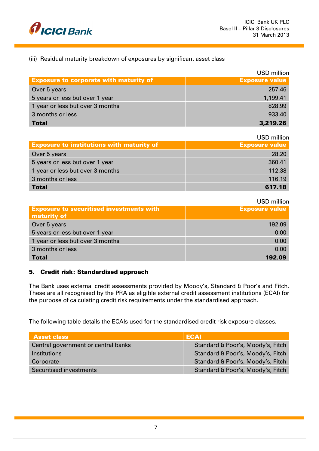

## (iii) Residual maturity breakdown of exposures by significant asset class

|                                               | <b>USD</b> million    |
|-----------------------------------------------|-----------------------|
| <b>Exposure to corporate with maturity of</b> | <b>Exposure value</b> |
| Over 5 years                                  | 257.46                |
| 5 years or less but over 1 year               | 1,199.41              |
| 1 year or less but over 3 months              | 828.99                |
| 3 months or less                              | 933.40                |
| <b>Total</b>                                  | 3,219.26              |

#### USD million

| <b>Exposure to institutions with maturity of</b> | <b>Exposure value</b> |
|--------------------------------------------------|-----------------------|
| Over 5 years                                     | 28.20                 |
| 5 years or less but over 1 year                  | 360.41                |
| 1 year or less but over 3 months                 | 112.38                |
| 3 months or less                                 | 116.19                |
| <b>Total</b>                                     | 617.18                |

### USD million

| <b>Exposure to securitised investments with</b><br>maturity of | <b>Exposure value</b> |
|----------------------------------------------------------------|-----------------------|
| Over 5 years                                                   | 192.09                |
| 5 years or less but over 1 year                                | 0.00                  |
| 1 year or less but over 3 months                               | 0.00                  |
| 3 months or less                                               | 0.00                  |
| <b>Total</b>                                                   | 192.09                |

#### 5. Credit risk: Standardised approach

The Bank uses external credit assessments provided by Moody's, Standard & Poor's and Fitch. These are all recognised by the PRA as eligible external credit assessment institutions (ECAI) for the purpose of calculating credit risk requirements under the standardised approach.

The following table details the ECAIs used for the standardised credit risk exposure classes.

| <b>Asset class</b>                  | <b>ECAI</b>                       |
|-------------------------------------|-----------------------------------|
| Central government or central banks | Standard & Poor's, Moody's, Fitch |
| <b>Institutions</b>                 | Standard & Poor's, Moody's, Fitch |
| Corporate                           | Standard & Poor's, Moody's, Fitch |
| Securitised investments             | Standard & Poor's, Moody's, Fitch |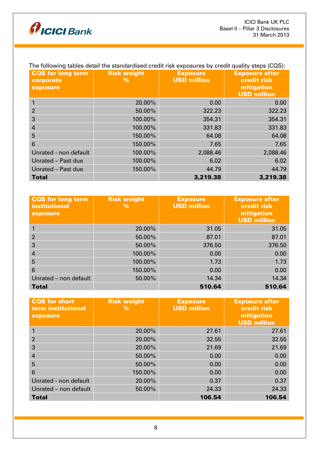

| <b>CQS for long term</b><br>corporate<br>exposure | <b>Risk weight</b><br>$\frac{9}{6}$ | <b>Exposure</b><br><b>USD million</b> | <b>Exposure after</b><br>credit risk<br>mitigation<br><b>USD million</b> |
|---------------------------------------------------|-------------------------------------|---------------------------------------|--------------------------------------------------------------------------|
|                                                   | 20.00%                              | 0.00                                  | 0.00                                                                     |
| 2                                                 | 50.00%                              | 322.23                                | 322.23                                                                   |
| 3                                                 | 100.00%                             | 354.31                                | 354.31                                                                   |
| $\overline{4}$                                    | 100.00%                             | 331.83                                | 331.83                                                                   |
| 5                                                 | 150.00%                             | 64.08                                 | 64.08                                                                    |
| 6                                                 | 150.00%                             | 7.65                                  | 7.65                                                                     |
| Unrated - non default                             | 100.00%                             | 2,088.46                              | 2,088.46                                                                 |
| Unrated - Past due                                | 100.00%                             | 6.02                                  | 6.02                                                                     |
| Unrated - Past due                                | 150,00%                             | 44.79                                 | 44.79                                                                    |
| <b>Total</b>                                      |                                     | 3,219.38                              | 3,219.38                                                                 |

## The following tables detail the standardised credit risk exposures by credit quality steps (CQS):

| <b>CQS</b> for long term<br><b>institutional</b><br>exposure | <b>Risk weight</b><br>$\%$ | <b>Exposure</b><br><b>USD million</b> | <b>Exposure after</b><br><b>credit risk</b><br>mitigation<br><b>USD million</b> |
|--------------------------------------------------------------|----------------------------|---------------------------------------|---------------------------------------------------------------------------------|
|                                                              | 20.00%                     | 31.05                                 | 31.05                                                                           |
| 2                                                            | 50.00%                     | 87.01                                 | 87.01                                                                           |
| 3                                                            | 50.00%                     | 376.50                                | 376.50                                                                          |
| $\overline{4}$                                               | 100.00%                    | 0.00                                  | 0.00                                                                            |
| 5                                                            | 100.00%                    | 1.73                                  | 1.73                                                                            |
| 6                                                            | 150.00%                    | 0.00                                  | 0.00                                                                            |
| Unrated - non default                                        | 50.00%                     | 14.34                                 | 14.34                                                                           |
| <b>Total</b>                                                 |                            | 510.64                                | 510.64                                                                          |

| <b>CQS</b> for short<br>term institutional<br>exposure | <b>Risk weight</b><br>$\frac{9}{6}$ | <b>Exposure</b><br><b>USD million</b> | <b>Exposure after</b><br>credit risk<br>mitigation<br><b>USD million</b> |
|--------------------------------------------------------|-------------------------------------|---------------------------------------|--------------------------------------------------------------------------|
|                                                        | 20.00%                              | 27.61                                 | 27.61                                                                    |
| $\overline{2}$                                         | 20.00%                              | 32.55                                 | 32.55                                                                    |
| 3                                                      | 20.00%                              | 21.69                                 | 21.69                                                                    |
| $\overline{4}$                                         | 50.00%                              | 0.00                                  | 0.00                                                                     |
| 5                                                      | 50.00%                              | 0.00                                  | 0.00                                                                     |
| 6                                                      | 150.00%                             | 0.00                                  | 0.00                                                                     |
| Unrated - non default                                  | 20.00%                              | 0.37                                  | 0.37                                                                     |
| Unrated - non default                                  | 50.00%                              | 24.33                                 | 24.33                                                                    |
| <b>Total</b>                                           |                                     | 106.54                                | 106.54                                                                   |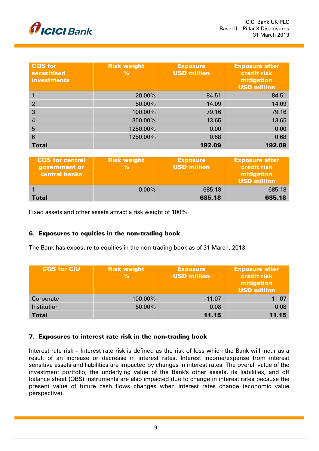

| <b>CQS</b> for<br><b>securitised</b><br><b>investments</b> | <b>Risk weight</b><br>$\%$ | <b>Exposure</b><br><b>USD million</b> | <b>Exposure after</b><br>credit risk<br>mitigation<br><b>USD million</b> |
|------------------------------------------------------------|----------------------------|---------------------------------------|--------------------------------------------------------------------------|
|                                                            | 20.00%                     | 84.51                                 | 84.51                                                                    |
| $\overline{2}$                                             | 50.00%                     | 14.09                                 | 14.09                                                                    |
| 3                                                          | 100.00%                    | 79.16                                 | 79.16                                                                    |
| 4                                                          | 350.00%                    | 13.65                                 | 13.65                                                                    |
| 5                                                          | 1250.00%                   | 0.00                                  | 0.00                                                                     |
| $6\phantom{1}6$                                            | 1250.00%                   | 0.68                                  | 0.68                                                                     |
| <b>Total</b>                                               |                            | 192.09                                | 192.09                                                                   |

| <b>CQS</b> for central<br>government or<br>central banks | <b>Risk weight</b><br>% | <b>Exposure</b><br><b>USD million</b> | <b>Exposure after</b><br><b>credit risk</b><br>mitigation<br><b>USD million</b> |
|----------------------------------------------------------|-------------------------|---------------------------------------|---------------------------------------------------------------------------------|
|                                                          | $0.00\%$                | 685.18                                | 685.18                                                                          |
| Total                                                    |                         | 685.18                                | 685.18                                                                          |

Fixed assets and other assets attract a risk weight of 100%.

## 6. Exposures to equities in the non-trading book

The Bank has exposure to equities in the non-trading book as of 31 March, 2013.

| <b>CQS for CIU</b> | <b>Risk weight</b><br>$\frac{9}{6}$ | <b>Exposure</b><br><b>USD million</b> | <b>Exposure after</b><br>credit risk<br>mitigation<br><b>USD million</b> |
|--------------------|-------------------------------------|---------------------------------------|--------------------------------------------------------------------------|
| Corporate          | 100.00%                             | 11.07                                 | 11.07                                                                    |
| Institution        | 50.00%                              | 0.08                                  | 0.08                                                                     |
| <b>Total</b>       |                                     | 11.15                                 | 11.15                                                                    |

#### 7. Exposures to interest rate risk in the non-trading book

Interest rate risk – Interest rate risk is defined as the risk of loss which the Bank will incur as a result of an increase or decrease in interest rates. Interest income/expense from interest sensitive assets and liabilities are impacted by changes in interest rates. The overall value of the investment portfolio, the underlying value of the Bank's other assets, its liabilities, and off balance sheet (OBS) instruments are also impacted due to change in interest rates because the present value of future cash flows changes when interest rates change (economic value perspective).